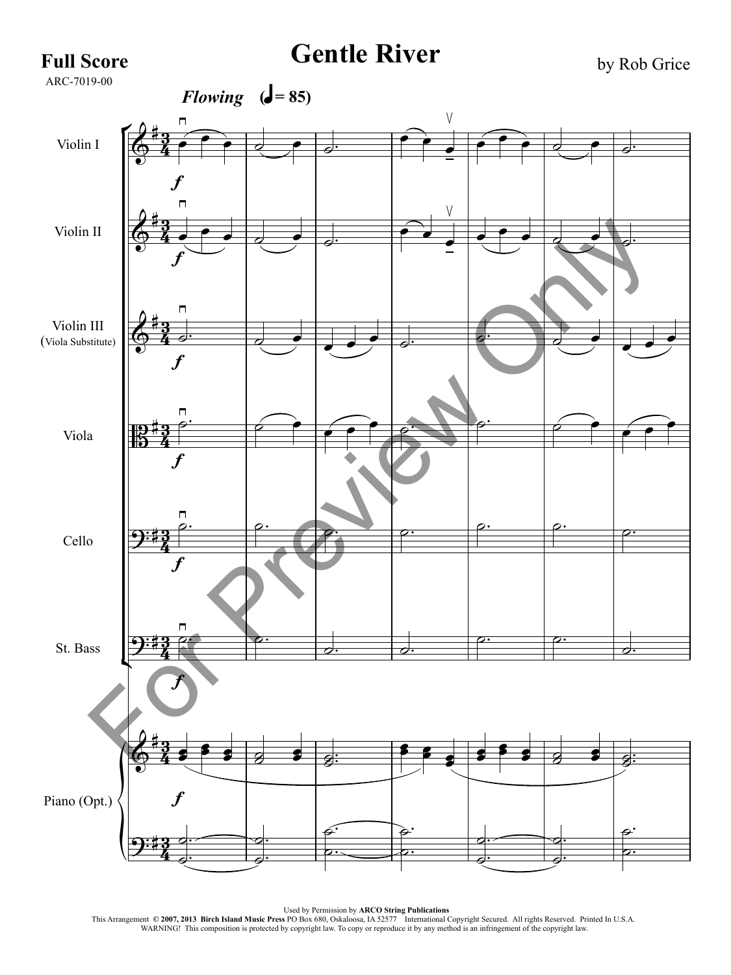**Full Score Gentle River**

by Rob Grice



Used by Permission by **ARCO String Publications**<br>This Arrangement © 2007, 2013 Birch Island Music Press PO Box 680, Oskaloosa, IA 52577 International Copyright Secured. All rights Reserved. Printed In U.S.A.<br>WARNING! This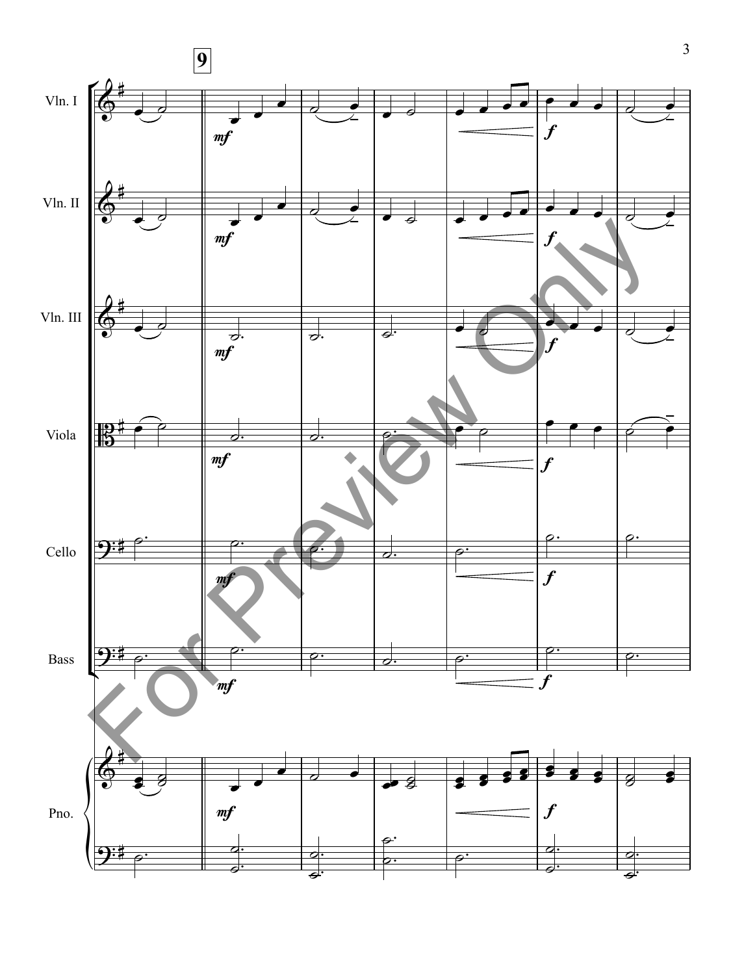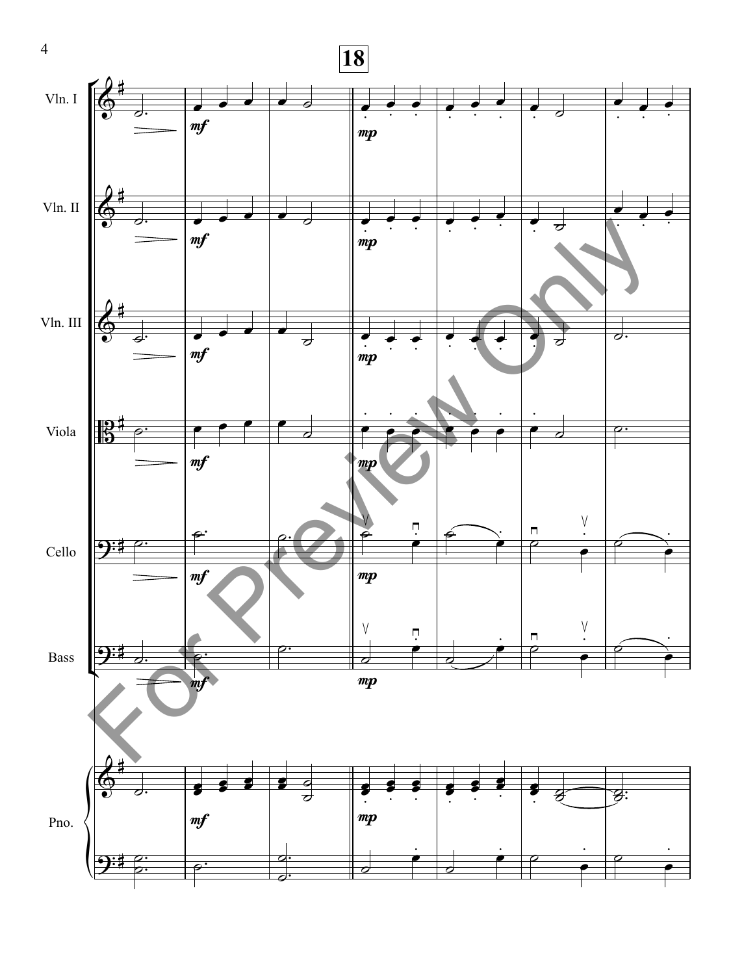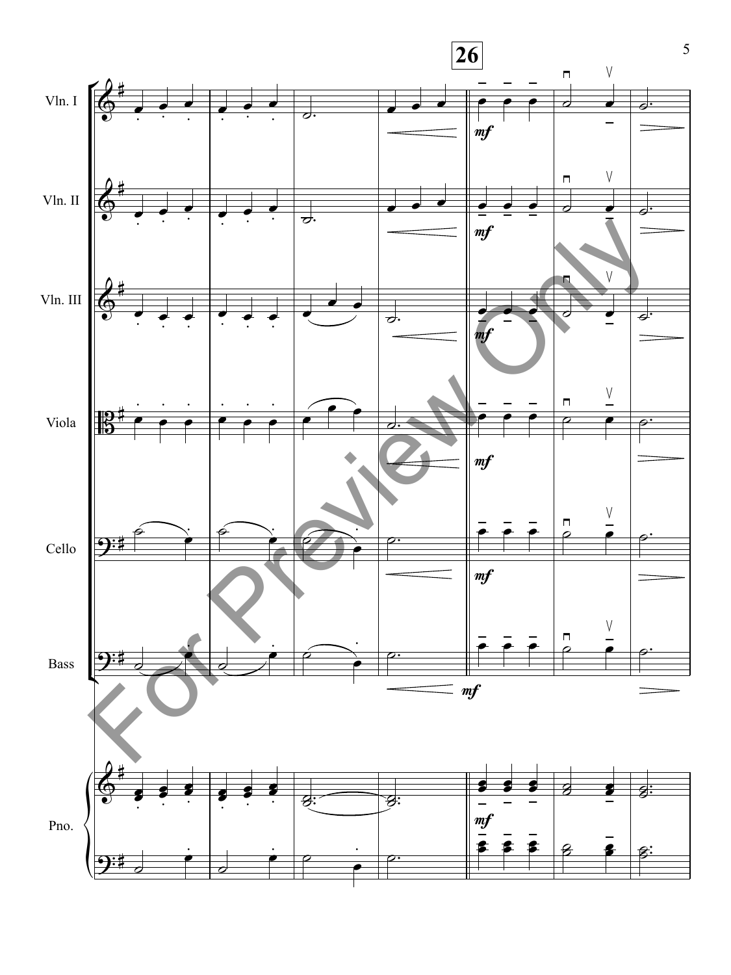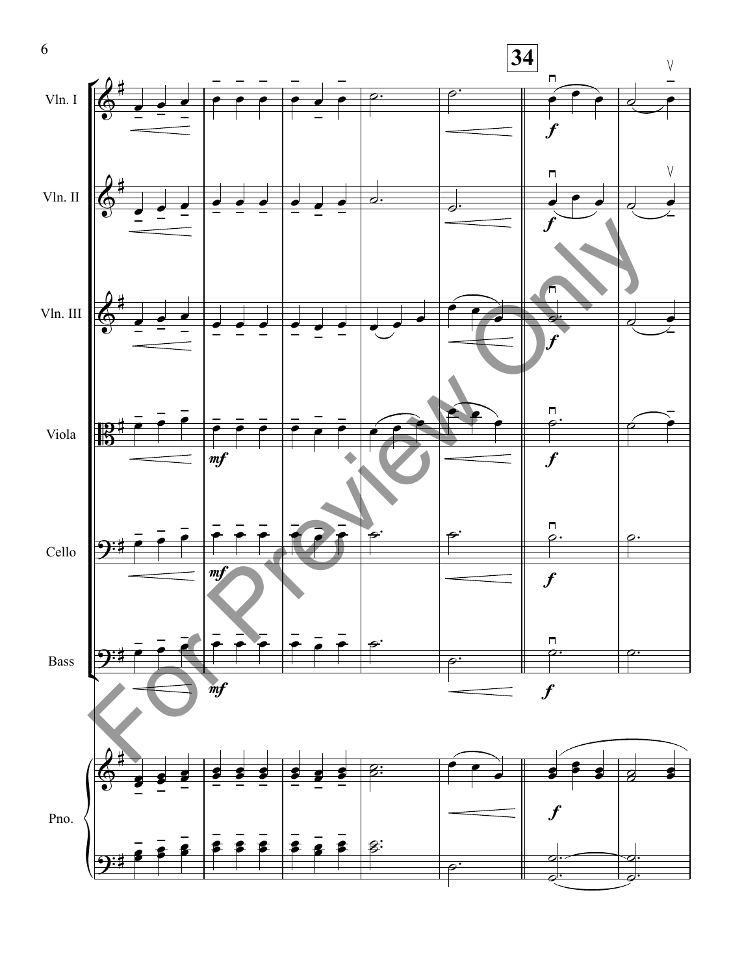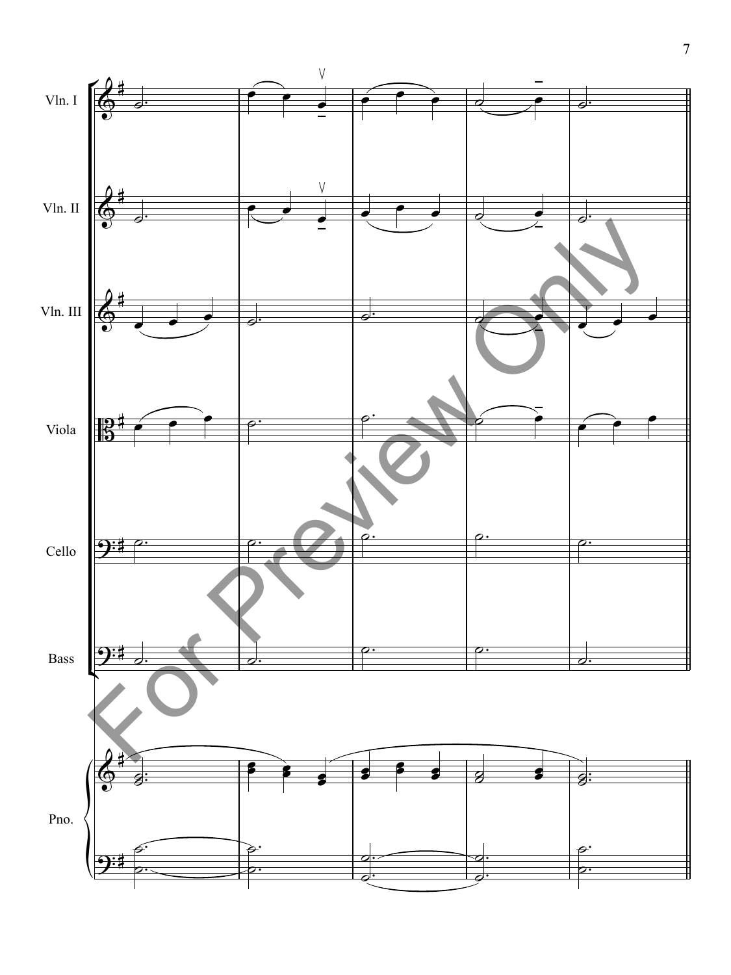